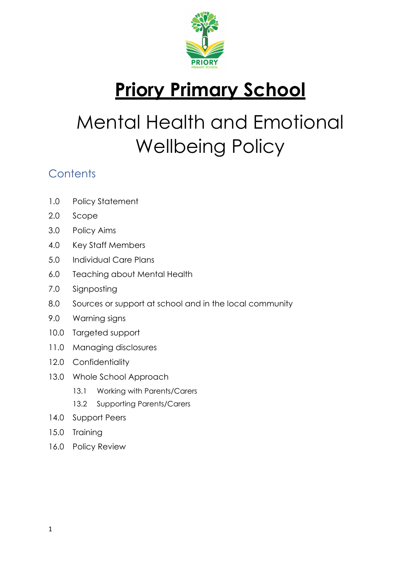

# **Priory Primary School**

# Mental Health and Emotional Wellbeing Policy

# **Contents**

- 1.0 Policy Statement
- 2.0 Scope
- 3.0 Policy Aims
- 4.0 Key Staff Members
- 5.0 Individual Care Plans
- 6.0 Teaching about Mental Health
- 7.0 Signposting
- 8.0 Sources or support at school and in the local community
- 9.0 Warning signs
- 10.0 Targeted support
- 11.0 Managing disclosures
- 12.0 Confidentiality
- 13.0 Whole School Approach
	- 13.1 Working with Parents/Carers
	- 13.2 Supporting Parents/Carers
- 14.0 Support Peers
- 15.0 Training
- 16.0 Policy Review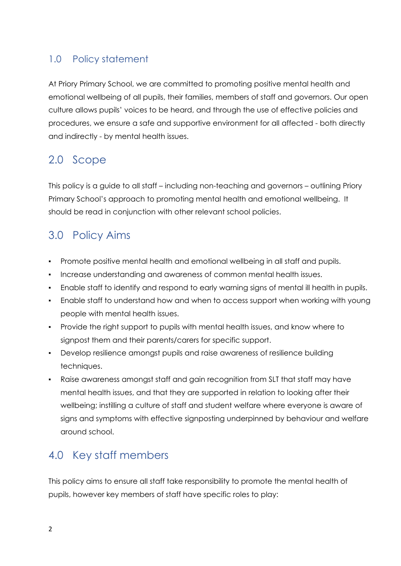#### 1.0 Policy statement

At Priory Primary School, we are committed to promoting positive mental health and emotional wellbeing of all pupils, their families, members of staff and governors. Our open culture allows pupils' voices to be heard, and through the use of effective policies and procedures, we ensure a safe and supportive environment for all affected - both directly and indirectly - by mental health issues.

## 2.0 Scope

This policy is a guide to all staff – including non-teaching and governors – outlining Priory Primary School's approach to promoting mental health and emotional wellbeing. It should be read in conjunction with other relevant school policies.

## 3.0 Policy Aims

- Promote positive mental health and emotional wellbeing in all staff and pupils.
- Increase understanding and awareness of common mental health issues.
- Enable staff to identify and respond to early warning signs of mental ill health in pupils.
- Enable staff to understand how and when to access support when working with young people with mental health issues.
- Provide the right support to pupils with mental health issues, and know where to signpost them and their parents/carers for specific support.
- Develop resilience amongst pupils and raise awareness of resilience building techniques.
- Raise awareness amongst staff and gain recognition from SLT that staff may have mental health issues, and that they are supported in relation to looking after their wellbeing; instilling a culture of staff and student welfare where everyone is aware of signs and symptoms with effective signposting underpinned by behaviour and welfare around school.

## 4.0 Key staff members

This policy aims to ensure all staff take responsibility to promote the mental health of pupils, however key members of staff have specific roles to play: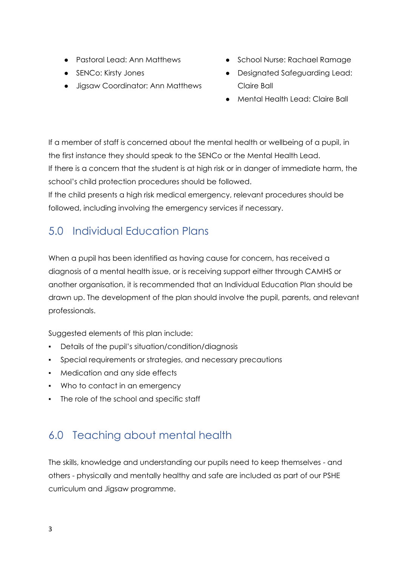- Pastoral Lead: Ann Matthews
- SENCo: Kirsty Jones
- Jigsaw Coordinator: Ann Matthews
- School Nurse: Rachael Ramage
- Designated Safeguarding Lead: Claire Ball
- Mental Health Lead: Claire Ball

If a member of staff is concerned about the mental health or wellbeing of a pupil, in the first instance they should speak to the SENCo or the Mental Health Lead. If there is a concern that the student is at high risk or in danger of immediate harm, the school's child protection procedures should be followed.

If the child presents a high risk medical emergency, relevant procedures should be followed, including involving the emergency services if necessary.

# 5.0 Individual Education Plans

When a pupil has been identified as having cause for concern, has received a diagnosis of a mental health issue, or is receiving support either through CAMHS or another organisation, it is recommended that an Individual Education Plan should be drawn up. The development of the plan should involve the pupil, parents, and relevant professionals.

Suggested elements of this plan include:

- Details of the pupil's situation/condition/diagnosis
- Special requirements or strategies, and necessary precautions
- Medication and any side effects
- Who to contact in an emergency
- The role of the school and specific staff

# 6.0 Teaching about mental health

The skills, knowledge and understanding our pupils need to keep themselves - and others - physically and mentally healthy and safe are included as part of our PSHE curriculum and Jigsaw programme.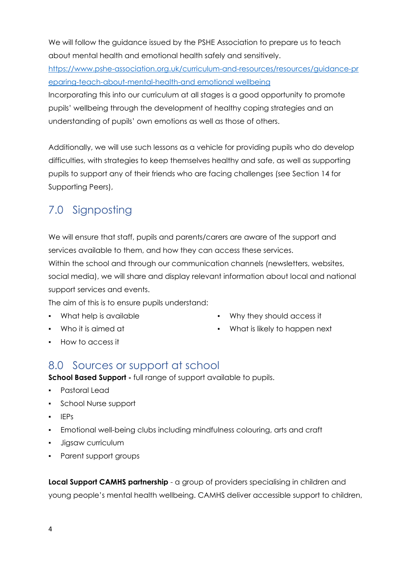We will follow the guidance issued by the PSHE Association to prepare us to teach about mental health and emotional health safely and sensitively.

[https://www.pshe-association.org.uk/curriculum-and-resources/resources/guidance-pr](https://www.pshe-association.org.uk/curriculum-and-resources/resources/guidance-preparing-teach-about-mental-health-and) [eparing-teach-about-mental-health-and](https://www.pshe-association.org.uk/curriculum-and-resources/resources/guidance-preparing-teach-about-mental-health-and) emotional wellbeing

Incorporating this into our curriculum at all stages is a good opportunity to promote pupils' wellbeing through the development of healthy coping strategies and an understanding of pupils' own emotions as well as those of others.

Additionally, we will use such lessons as a vehicle for providing pupils who do develop difficulties, with strategies to keep themselves healthy and safe, as well as supporting pupils to support any of their friends who are facing challenges (see Section 14 for Supporting Peers),

# 7.0 Signposting

We will ensure that staff, pupils and parents/carers are aware of the support and services available to them, and how they can access these services.

Within the school and through our communication channels (newsletters, websites, social media), we will share and display relevant information about local and national support services and events.

The aim of this is to ensure pupils understand:

- What help is available
- Who it is aimed at
- Why they should access it
- What is likely to happen next

▪ How to access it

#### 8.0 Sources or support at school

**School Based Support -** full range of support available to pupils.

- Pastoral Lead
- School Nurse support
- IEPs
- Emotional well-being clubs including mindfulness colouring, arts and craft
- Jigsaw curriculum
- Parent support groups

**Local Support CAMHS partnership** - a group of providers specialising in children and young people's mental health wellbeing. CAMHS deliver accessible support to children,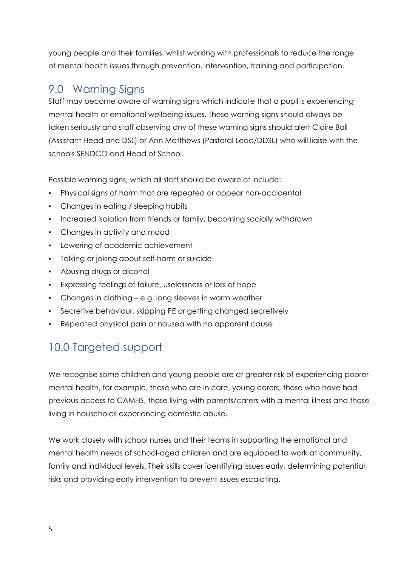young people and their families, whilst working with professionals to reduce the range of mental health issues through prevention, intervention, training and participation.

## 9.0 Warning Signs

Staff may become aware of warning signs which indicate that a pupil is experiencing mental health or emotional wellbeing issues. These warning signs should always be taken seriously and staff observing any of these warning signs should alert Claire Ball (Assistant Head and DSL) or Ann Matthews (Pastoral Lead/DDSL) who will liaise with the schools SENDCO and Head of School.

Possible warning signs, which all staff should be aware of include:

- Physical signs of harm that are repeated or appear non-accidental
- Changes in eating / sleeping habits
- Increased isolation from friends or family, becoming socially withdrawn
- Changes in activity and mood
- Lowering of academic achievement
- Talking or joking about self-harm or suicide
- Abusing drugs or alcohol
- Expressing feelings of failure, uselessness or loss of hope
- Changes in clothing e.g. long sleeves in warm weather
- Secretive behaviour, skipping PE or getting changed secretively
- Repeated physical pain or nausea with no apparent cause

# 10.0 Targeted support

We recognise some children and young people are at greater risk of experiencing poorer mental health, for example, those who are in care, young carers, those who have had previous access to CAMHS, those living with parents/carers with a mental illness and those living in households experiencing domestic abuse.

We work closely with school nurses and their teams in supporting the emotional and mental health needs of school-aged children and are equipped to work at community, family and individual levels. Their skills cover identifying issues early, determining potential risks and providing early intervention to prevent issues escalating.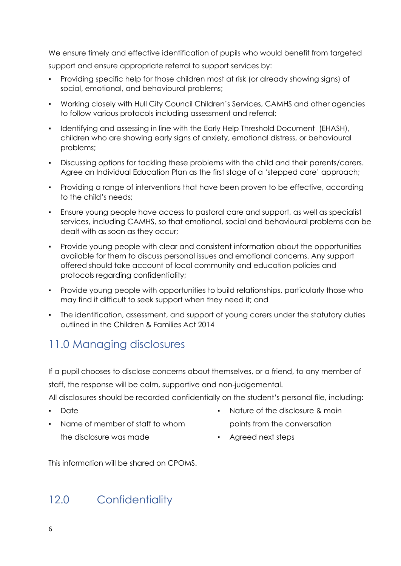We ensure timely and effective identification of pupils who would benefit from targeted support and ensure appropriate referral to support services by:

- Providing specific help for those children most at risk (or already showing signs) of social, emotional, and behavioural problems;
- Working closely with Hull City Council Children's Services, CAMHS and other agencies to follow various protocols including assessment and referral;
- Identifying and assessing in line with the Early Help Threshold Document (EHASH), children who are showing early signs of anxiety, emotional distress, or behavioural problems;
- Discussing options for tackling these problems with the child and their parents/carers. Agree an Individual Education Plan as the first stage of a 'stepped care' approach;
- Providing a range of interventions that have been proven to be effective, according to the child's needs;
- Ensure young people have access to pastoral care and support, as well as specialist services, including CAMHS, so that emotional, social and behavioural problems can be dealt with as soon as they occur;
- Provide young people with clear and consistent information about the opportunities available for them to discuss personal issues and emotional concerns. Any support offered should take account of local community and education policies and protocols regarding confidentiality;
- Provide young people with opportunities to build relationships, particularly those who may find it difficult to seek support when they need it; and
- The identification, assessment, and support of young carers under the statutory duties outlined in the Children & Families Act 2014

# 11.0 Managing disclosures

If a pupil chooses to disclose concerns about themselves, or a friend, to any member of staff, the response will be calm, supportive and non-judgemental.

All disclosures should be recorded confidentially on the student's personal file, including:

- Date
- Name of member of staff to whom
- Nature of the disclosure & main points from the conversation
- the disclosure was made
- Agreed next steps

This information will be shared on CPOMS.

# 12.0 Confidentiality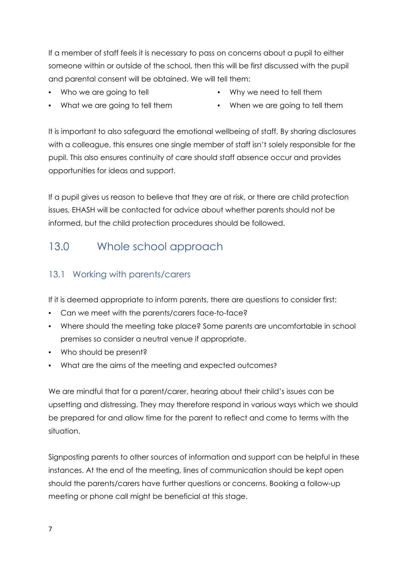If a member of staff feels it is necessary to pass on concerns about a pupil to either someone within or outside of the school, then this will be first discussed with the pupil and parental consent will be obtained. We will tell them:

▪ Who we are going to tell

- Why we need to tell them
- What we are going to tell them
- When we are going to tell them

It is important to also safeguard the emotional wellbeing of staff. By sharing disclosures with a colleague, this ensures one single member of staff isn't solely responsible for the pupil. This also ensures continuity of care should staff absence occur and provides opportunities for ideas and support.

If a pupil gives us reason to believe that they are at risk, or there are child protection issues, EHASH will be contacted for advice about whether parents should not be informed, but the child protection procedures should be followed.

## 13.0 Whole school approach

#### 13.1 Working with parents/carers

If it is deemed appropriate to inform parents, there are questions to consider first:

- Can we meet with the parents/carers face-to-face?
- Where should the meeting take place? Some parents are uncomfortable in school premises so consider a neutral venue if appropriate.
- Who should be present?
- What are the aims of the meeting and expected outcomes?

We are mindful that for a parent/carer, hearing about their child's issues can be upsetting and distressing. They may therefore respond in various ways which we should be prepared for and allow time for the parent to reflect and come to terms with the situation.

Signposting parents to other sources of information and support can be helpful in these instances. At the end of the meeting, lines of communication should be kept open should the parents/carers have further questions or concerns. Booking a follow-up meeting or phone call might be beneficial at this stage.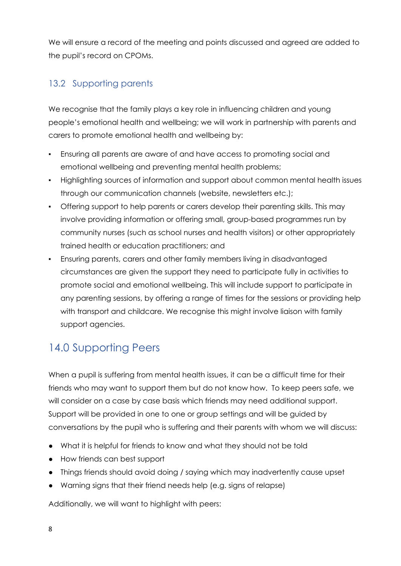We will ensure a record of the meeting and points discussed and agreed are added to the pupil's record on CPOMs.

#### 13.2 Supporting parents

We recognise that the family plays a key role in influencing children and young people's emotional health and wellbeing; we will work in partnership with parents and carers to promote emotional health and wellbeing by:

- Ensuring all parents are aware of and have access to promoting social and emotional wellbeing and preventing mental health problems;
- Highlighting sources of information and support about common mental health issues through our communication channels (website, newsletters etc.);
- Offering support to help parents or carers develop their parenting skills. This may involve providing information or offering small, group-based programmes run by community nurses (such as school nurses and health visitors) or other appropriately trained health or education practitioners; and
- Ensuring parents, carers and other family members living in disadvantaged circumstances are given the support they need to participate fully in activities to promote social and emotional wellbeing. This will include support to participate in any parenting sessions, by offering a range of times for the sessions or providing help with transport and childcare. We recognise this might involve liaison with family support agencies.

# 14.0 Supporting Peers

When a pupil is suffering from mental health issues, it can be a difficult time for their friends who may want to support them but do not know how. To keep peers safe, we will consider on a case by case basis which friends may need additional support. Support will be provided in one to one or group settings and will be guided by conversations by the pupil who is suffering and their parents with whom we will discuss:

- What it is helpful for friends to know and what they should not be told
- How friends can best support
- Things friends should avoid doing / saying which may inadvertently cause upset
- Warning signs that their friend needs help (e.g. signs of relapse)

Additionally, we will want to highlight with peers: